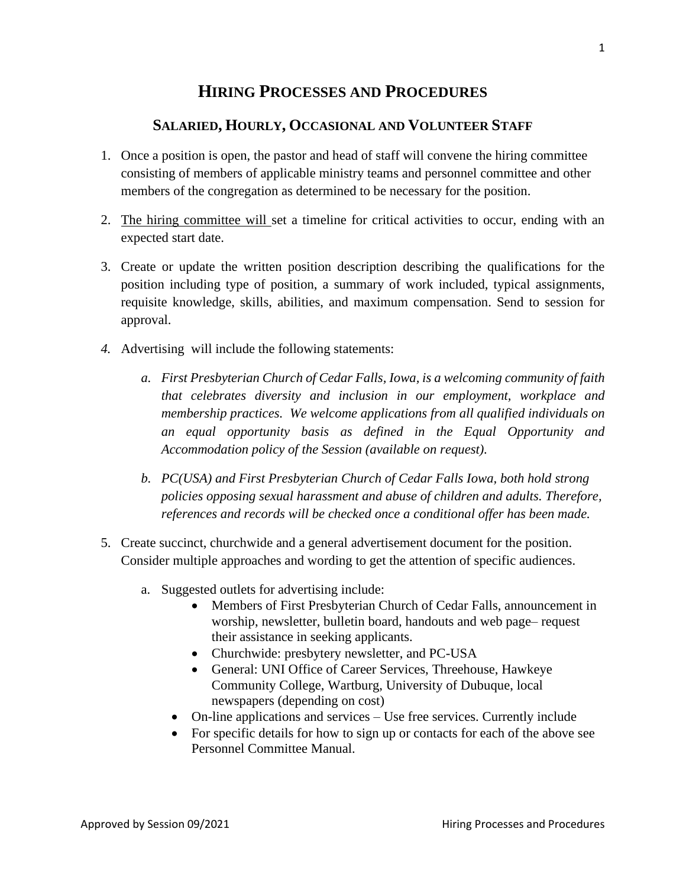# **HIRING PROCESSES AND PROCEDURES**

# **SALARIED, HOURLY, OCCASIONAL AND VOLUNTEER STAFF**

- 1. Once a position is open, the pastor and head of staff will convene the hiring committee consisting of members of applicable ministry teams and personnel committee and other members of the congregation as determined to be necessary for the position.
- 2. The hiring committee will set a timeline for critical activities to occur, ending with an expected start date.
- 3. Create or update the written position description describing the qualifications for the position including type of position, a summary of work included, typical assignments, requisite knowledge, skills, abilities, and maximum compensation. Send to session for approval.
- *4.* Advertising will include the following statements:
	- *a. First Presbyterian Church of Cedar Falls, Iowa, is a welcoming community of faith that celebrates diversity and inclusion in our employment, workplace and membership practices. We welcome applications from all qualified individuals on an equal opportunity basis as defined in the Equal Opportunity and Accommodation policy of the Session (available on request).*
	- *b. PC(USA) and First Presbyterian Church of Cedar Falls Iowa, both hold strong policies opposing sexual harassment and abuse of children and adults. Therefore, references and records will be checked once a conditional offer has been made.*
- 5. Create succinct, churchwide and a general advertisement document for the position. Consider multiple approaches and wording to get the attention of specific audiences.
	- a. Suggested outlets for advertising include:
		- Members of First Presbyterian Church of Cedar Falls, announcement in worship, newsletter, bulletin board, handouts and web page– request their assistance in seeking applicants.
		- Churchwide: presbytery newsletter, and PC-USA
		- General: UNI Office of Career Services, Threehouse, Hawkeye Community College, Wartburg, University of Dubuque, local newspapers (depending on cost)
		- On-line applications and services Use free services. Currently include
		- For specific details for how to sign up or contacts for each of the above see Personnel Committee Manual.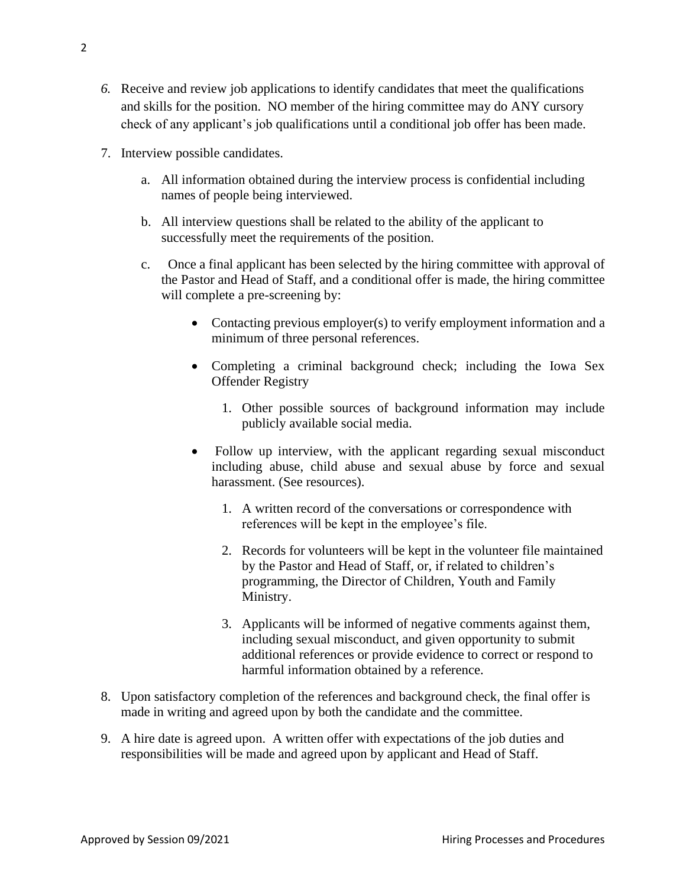- *6.* Receive and review job applications to identify candidates that meet the qualifications and skills for the position. NO member of the hiring committee may do ANY cursory check of any applicant's job qualifications until a conditional job offer has been made.
- 7. Interview possible candidates.
	- a. All information obtained during the interview process is confidential including names of people being interviewed.
	- b. All interview questions shall be related to the ability of the applicant to successfully meet the requirements of the position.
	- c. Once a final applicant has been selected by the hiring committee with approval of the Pastor and Head of Staff, and a conditional offer is made, the hiring committee will complete a pre-screening by:
		- Contacting previous employer(s) to verify employment information and a minimum of three personal references.
		- Completing a criminal background check; including the Iowa Sex Offender Registry
			- 1. Other possible sources of background information may include publicly available social media.
		- Follow up interview, with the applicant regarding sexual misconduct including abuse, child abuse and sexual abuse by force and sexual harassment. (See resources).
			- 1. A written record of the conversations or correspondence with references will be kept in the employee's file.
			- 2. Records for volunteers will be kept in the volunteer file maintained by the Pastor and Head of Staff, or, if related to children's programming, the Director of Children, Youth and Family Ministry.
			- 3. Applicants will be informed of negative comments against them, including sexual misconduct, and given opportunity to submit additional references or provide evidence to correct or respond to harmful information obtained by a reference.
- 8. Upon satisfactory completion of the references and background check, the final offer is made in writing and agreed upon by both the candidate and the committee.
- 9. A hire date is agreed upon. A written offer with expectations of the job duties and responsibilities will be made and agreed upon by applicant and Head of Staff.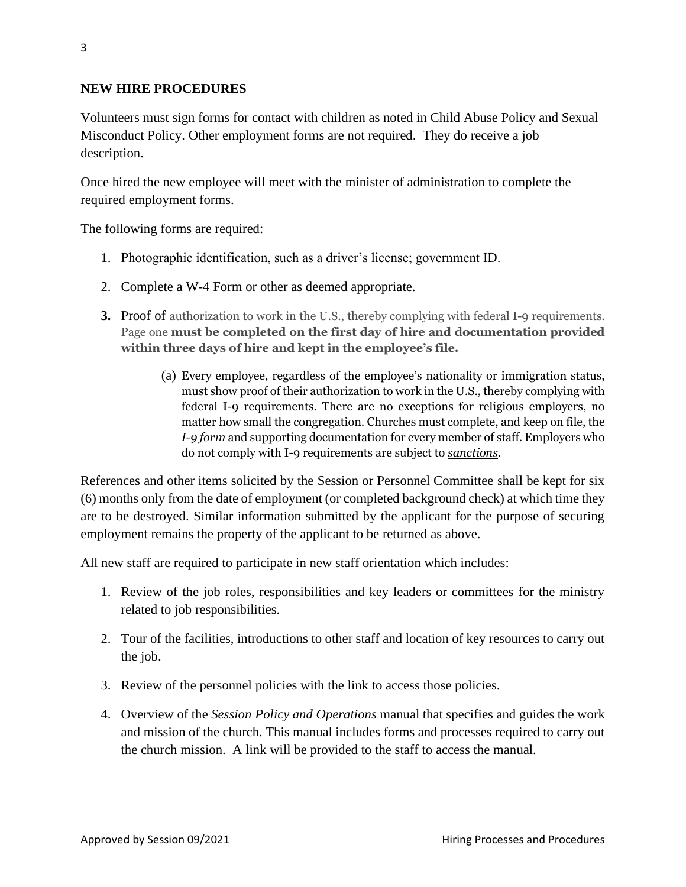### **NEW HIRE PROCEDURES**

Volunteers must sign forms for contact with children as noted in Child Abuse Policy and Sexual Misconduct Policy. Other employment forms are not required. They do receive a job description.

Once hired the new employee will meet with the minister of administration to complete the required employment forms.

The following forms are required:

- 1. Photographic identification, such as a driver's license; government ID.
- 2. Complete a W-4 Form or other as deemed appropriate.
- **3.** Proof of authorization to work in the U.S., thereby complying with federal I-9 requirements. Page one **must be completed on the first day of hire and documentation provided within three days of hire and kept in the employee's file.** 
	- (a) Every employee, regardless of the employee's nationality or immigration status, must show proof of their authorization to work in the U.S., thereby complying with federal I-9 requirements. There are no exceptions for religious employers, no matter how small the congregation. Churches must complete, and keep on file, the *[I-9 form](http://www.uscis.gov/portal/site/uscis/menuitem.5af9bb95919f35e66f614176543f6d1a/?vgnextoid=31b3ab0a43b5d010VgnVCM10000048f3d6a1RCRD&vgnextchannel=db029c7755cb9010VgnVCM10000045f3d6a1RCRD)* and supporting documentation for every member of staff. Employers who do not comply with I-9 requirements are subject to *[sanctions](http://www.uscis.gov/portal/site/uscis/menuitem.eb1d4c2a3e5b9ac89243c6a7543f6d1a/?vgnextoid=92082d73a2d38210VgnVCM100000082ca60aRCRD&vgnextchannel=92082d73a2d38210VgnVCM100000082ca60aRCRD)*.

References and other items solicited by the Session or Personnel Committee shall be kept for six (6) months only from the date of employment (or completed background check) at which time they are to be destroyed. Similar information submitted by the applicant for the purpose of securing employment remains the property of the applicant to be returned as above.

All new staff are required to participate in new staff orientation which includes:

- 1. Review of the job roles, responsibilities and key leaders or committees for the ministry related to job responsibilities.
- 2. Tour of the facilities, introductions to other staff and location of key resources to carry out the job.
- 3. Review of the personnel policies with the link to access those policies.
- 4. Overview of the *Session Policy and Operations* manual that specifies and guides the work and mission of the church. This manual includes forms and processes required to carry out the church mission. A link will be provided to the staff to access the manual.